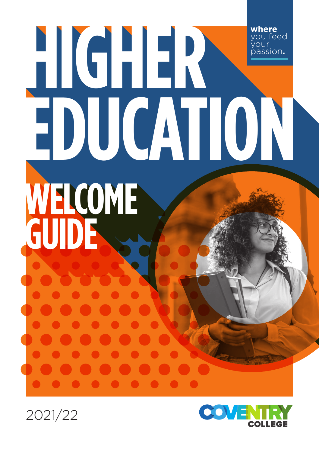# **where** you feed your passion**. HIGHER EDUCATION HIGHER EDUCATION WELCOME GUIDE**



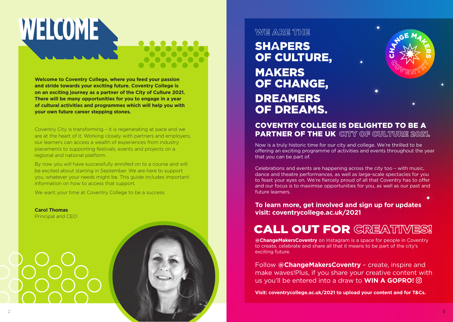

**Welcome to Coventry College, where you feed your passion and stride towards your exciting future. Coventry College is on an exciting journey as a partner of the City of Culture 2021. There will be many opportunities for you to engage in a year of cultural activities and programmes which will help you with your own future career stepping stones.**

Coventry City is transforming – it is regenerating at pace and we are at the heart of it. Working closely with partners and employers, our learners can access a wealth of experiences from industry placements to supporting festivals, events and projects on a regional and national platform.

By now you will have successfully enrolled on to a course and will be excited about starting in September. We are here to support you, whatever your needs might be. This guide includes important information on how to access that support.

We want your time at Coventry College to be a success.

**Carol Thomas** Principal and CEO



### **WYE ARE THE**

**SHAPERS** OF CULTURE, **MAKERS** OF CHANGE, **DREAMERS** OF DREAMS.



#### COVENTRY COLLEGE IS DELIGHTED TO BE A **PARTNER OF THE UK** CITY OF CULTURE 2021.

Now is a truly historic time for our city and college. We're thrilled to be offering an exciting programme of activities and events throughout the year that you can be part of.

Celebrations and events are happening across the city too – with music, dance and theatre performances, as well as large-scale spectacles for you to feast your eyes on. We're fiercely proud of all that Coventry has to offer and our focus is to maximise opportunities for you, as well as our past and future learners.

**To learn more, get involved and sign up for updates visit: coventrycollege.ac.uk/2021**

## **CALL OUT FOR GREATINES!**

**@ChangeMakersCoventry** on Instagram is a space for people in Coventry to create, celebrate and share all that it means to be part of the city's exciting future.

Follow **@ChangeMakersCoventry** – create, inspire and make waves!Plus, if you share your creative content with us you'll be entered into a draw to **WIN A GOPRO!** 

**Visit: coventrycollege.ac.uk/2021 to upload your content and for T&Cs.**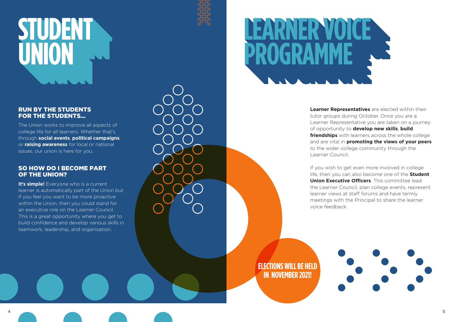## **SPENT R UNION STUDENT UNION**

#### RUN BY THE STUDENTS FOR THE STUDENTS…

The Union works to improve all aspects of college life for all learners. Whether that's through **social events**, **political campaigns**, or **raising awareness** for local or national issues, our union is here for you.

#### SO HOW DO I BECOME PART OF THE UNION?

**It's simple!** Everyone who is a current learner is automatically part of the Union but if you feel you want to be more proactive within the Union, then you could stand for an executive role on the Learner Council. This is a great opportunity where you get to build confidence and develop various skills in teamwork, leadership, and organisation.

**LOGRAMME PROGRAMME KNER VOICE PROGRAMME**

> **Learner Representatives** are elected within their tutor groups during October. Once you are a Learner Representative you are taken on a journey of opportunity to **develop new skills**, **build friendships** with learners across the whole college and are vital in **promoting the views of your peers** to the wider college community through the Learner Council.

> If you wish to get even more involved in college life, then you can also become one of the **Student Union Executive Officers**. This committee lead the Learner Council, plan college events, represent learner views at staff forums and have termly meetings with the Principal to share the learner voice feedback.

**ELECTIONS WILL BE HELD IN NOVEMBER 2021!**

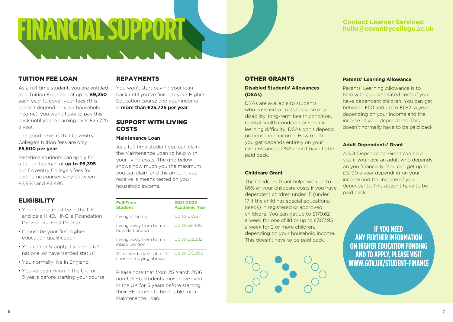#### **Contact Learner Services: hello@coventrycollege.ac.uk**

#### TUITION FEE LOAN

As a full-time student, you are entitled to a Tuition Fee Loan of up to **£9,250** each year to cover your fees (this doesn't depend on your household income), you won't have to pay this back until you're earning over £25,725 a year.

The good news is that Coventry College's tuition fees are only **£5,500 per year**.

Part-time students can apply for a tuition fee loan of **up to £6,395** but Coventry College's fees for part- time courses vary between £2,950 and £4,495.

#### **ELIGIBILITY**

- Your course must be in the UK and be a HND, HNC, a Foundation Degree or a First Degree
- It must be your first higher education qualification
- You can only apply if you're a UK national or have 'settled status'
- You normally live in England
- You've been living in the UK for 3 years before starting your course.

#### REPAYMENTS

**FINANCIAL SUPPORT ON A** 

**FINANCIAL SUPPORT**

You won't start paying your loan back until you've finished your Higher Education course and your income is **more than £25,725 per year**.

#### SUPPORT WITH LIVING COSTS

#### **Maintenance Loan**

As a full-time student you can claim the Maintenance Loan to help with your living costs. The grid below shows how much you the maximum you can claim and the amount you receive is means tested on your household income.

| <b>Full-Time</b><br><b>Student</b>                 | 2021-2022<br><b>Academic Year</b> |
|----------------------------------------------------|-----------------------------------|
| Living at home                                     | Up to £7,987                      |
| Living away from home,<br>outside London           | Up to £9,488                      |
| Living away from home,<br>inside London            | Up to £12,382                     |
| You spend a year of a UK<br>course studying abroad | Up to £10,866                     |

Please note that from 25 March 2016 non-UK EU students must have lived in the UK for 5 years before starting their HE course to be eligible for a Maintenance Loan.

#### OTHER GRANTS

#### **Disabled Students' Allowances (DSAs)**

DSAs are available to students who have extra costs because of a disability, long-term health condition, mental health condition or specific learning difficulty. DSAs don't depend on household income. How much you get depends entirely on your circumstances. DSAs don't have to be paid back.

#### **Childcare Grant**

The Childcare Grant helps with up to 85% of your childcare costs if you have dependent children under 15 (under 17 if the child has special educational needs) in registered or approved childcare. You can get up to £179.62 a week for one child or up to £307.95 a week for 2 or more children, depending on your household income. This doesn't have to be paid back.



#### **Parents' Learning Allowance**

Parents' Learning Allowance is to help with course-related costs if you have dependent children. You can get between £50 and up to £1,821 a year depending on your income and the income of your dependents. This doesn't normally have to be paid back.

#### **Adult Dependents' Grant**

Adult Dependents' Grant can help you if you have an adult who depends on you financially. You can get up to £3,190 a year depending on your income and the income of your dependents. This doesn't have to be paid back.

**IF YOU NEED ANY FURTHER INFORMATION ON HIGHER EDUCATION FUNDING AND TO APPLY, PLEASE VISIT WWW.GOV.UK/STUDENT-FINANCE**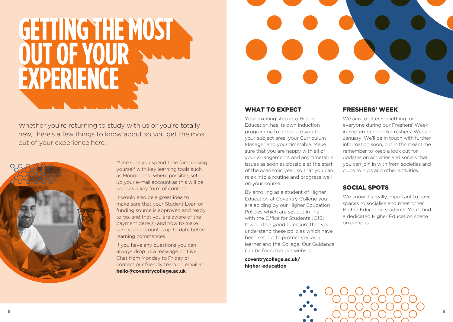## **GETTING THE MOST OF STREET PERIENCE EXPERIENCE GETTING THE MOST OUT OF YOUR EXPERIENCE**



Whether you're returning to study with us or you're totally new, there's a few things to know about so you get the most out of your experience here.



Make sure you spend time familiarising yourself with key learning tools such as Moodle and, where possible, set up your e-mail account as this will be used as a key form of contact.

It would also be a great idea to make sure that your Student Loan or funding source is approved and ready to go, and that you are aware of the payment date(s) and how to make sure your account is up to date before learning commences.

If you have any questions you can always drop us a message on Live Chat from Monday to Friday or contact our friendly team on email at **hello@coventrycollege.ac.uk**

#### WHAT TO **EXPECT**

Your exciting step into Higher Education has its own induction programme to introduce you to your subject area, your Curriculum Manager and your timetable. Make sure that you are happy with all of your arrangements and any timetable issues as soon as possible at the start of the academic year, so that you can relax into a routine and progress well on your course.

By enrolling as a student of Higher Education at Coventry College you are abiding by our Higher Education Policies which are set out in line with the Office for Students (OfS). It would be good to ensure that you understand these policies which have been set out to protect you as a learner and the College. Our Guidance can be found on our website.

**coventrycollege.ac.uk/ higher-education**

#### FRESHERS' WEEK

We aim to offer something for everyone during our Freshers' Week in September and Refreshers' Week in January. We'll be in touch with further information soon, but in the meantime remember to keep a look out for updates on activities and socials that you can join in with from societies and clubs to trips and other activities.

#### SOCIAL SPOTS

We know it's really important to have spaces to socialise and meet other Higher Education students. You'll find a dedicated Higher Education space on campus.

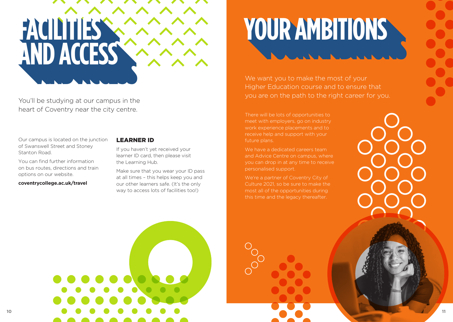

You'll be studying at our campus in the heart of Coventry near the city centre.

Our campus is located on the junction of Swanswell Street and Stoney Stanton Road.

You can find further information on bus routes, directions and train options on our website.

**coventrycollege.ac.uk/travel** 

#### LEARNER ID

If you haven't yet received your learner ID card, then please visit the Learning Hub.

Make sure that you wear your ID pass at all times – this helps keep you and our other learners safe. (It's the only way to access lots of facilities too!)

We want you to make the most of your Higher Education course and to ensure that you are on the path to the right career for you.

There will be lots of opportunities to meet with employers, go on industry work experience placements and to receive help and support with your future plans.

We have a dedicated careers team and Advice Centre on campus, where you can drop in at any time to receive personalised support.

We're a partner of Coventry City of Culture 2021, so be sure to make the most all of the opportunities during this time and the legacy thereafter.

**10 11**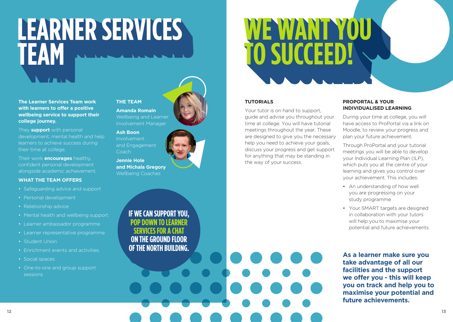

**The Learner Services Team work with learners to offer a positive wellbeing service to support their college journey.**

They **support** with personal development, mental health and help learners to achieve success during their time at college.

Their work **encourages** healthy, confident personal development alongside academic achievement.

#### **WHAT THE TEAM OFFERS**

- Safeguarding advice and support
- Personal development
- Relationship advice
- Mental health and wellbeing support
- Learner ambassador programme
- Learner representative programme
- Student Union
- Enrichment events and activities
- Social spaces
- One-to-one and group support sessions

## **THE TEAM**

**Amanda Romain** Wellbeing and Learner Involvement Manager

**Ash Boon** Involvement and Engagement Coach

**Jennie Hole and Michala Gregory** Wellbeing Coaches

> **IF WE CAN SUPPORT YOU, POP DOWN TO LEARNER SERVICES FOR A CHAT ON THE GROUND FLOOR OF THE NORTH BUILDING.**

## **SUCCED! TO SUCCEED! WE WANT YOU TO SUCCEED!**

#### **TUTORIALS**

Your tutor is on hand to support, guide and advise you throughout your time at college. You will have tutorial meetings throughout the year. These are designed to give you the necessary help you need to achieve your goals. discuss your progress and get support for anything that may be standing in the way of your success.

#### **PROPORTAL & YOUR INDIVIDUALISED LEARNING**

During your time at college, you will have access to ProPortal via a link on Moodle, to review your progress and plan your future achievement.

Through ProPortal and your tutorial meetings you will be able to develop your Individual Learning Plan (ILP), which puts you at the centre of your learning and gives you control over your achievement. This includes:

- An understanding of how well you are progressing on your study programme
- Your SMART targets are designed in collaboration with your tutors will help you to maximise your potential and future achievements.

**As a learner make sure you take advantage of all our facilities and the support we offer you - this will keep you on track and help you to maximise your potential and future achievements.**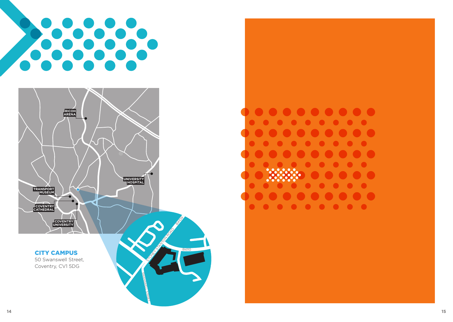



#### CITY CAMPUS

50 Swanswell Street, Coventry, CV1 5DG